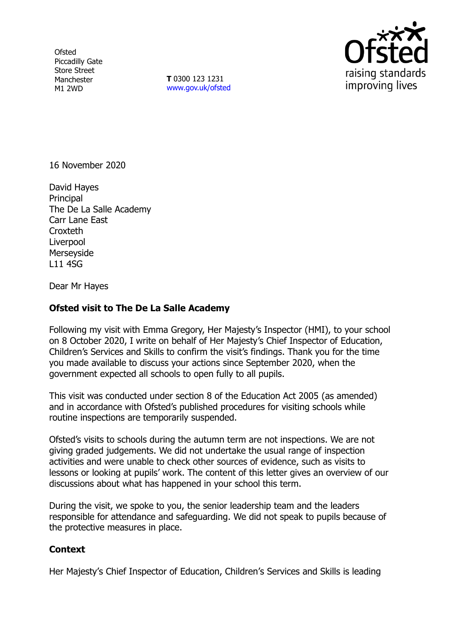**Ofsted** Piccadilly Gate Store Street Manchester M1 2WD

**T** 0300 123 1231 [www.gov.uk/ofsted](http://www.gov.uk/ofsted)



16 November 2020

David Hayes **Principal** The De La Salle Academy Carr Lane East **Croxteth** Liverpool Merseyside L11 4SG

Dear Mr Hayes

## **Ofsted visit to The De La Salle Academy**

Following my visit with Emma Gregory, Her Majesty's Inspector (HMI), to your school on 8 October 2020, I write on behalf of Her Majesty's Chief Inspector of Education, Children's Services and Skills to confirm the visit's findings. Thank you for the time you made available to discuss your actions since September 2020, when the government expected all schools to open fully to all pupils.

This visit was conducted under section 8 of the Education Act 2005 (as amended) and in accordance with Ofsted's published procedures for visiting schools while routine inspections are temporarily suspended.

Ofsted's visits to schools during the autumn term are not inspections. We are not giving graded judgements. We did not undertake the usual range of inspection activities and were unable to check other sources of evidence, such as visits to lessons or looking at pupils' work. The content of this letter gives an overview of our discussions about what has happened in your school this term.

During the visit, we spoke to you, the senior leadership team and the leaders responsible for attendance and safeguarding. We did not speak to pupils because of the protective measures in place.

## **Context**

Her Majesty's Chief Inspector of Education, Children's Services and Skills is leading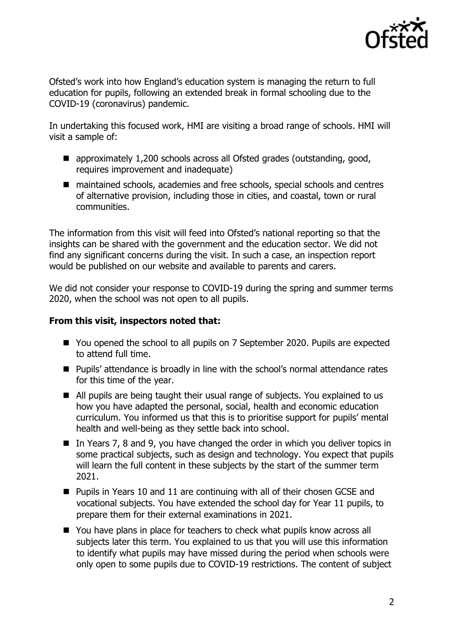

Ofsted's work into how England's education system is managing the return to full education for pupils, following an extended break in formal schooling due to the COVID-19 (coronavirus) pandemic.

In undertaking this focused work, HMI are visiting a broad range of schools. HMI will visit a sample of:

- approximately 1,200 schools across all Ofsted grades (outstanding, good, requires improvement and inadequate)
- maintained schools, academies and free schools, special schools and centres of alternative provision, including those in cities, and coastal, town or rural communities.

The information from this visit will feed into Ofsted's national reporting so that the insights can be shared with the government and the education sector. We did not find any significant concerns during the visit. In such a case, an inspection report would be published on our website and available to parents and carers.

We did not consider your response to COVID-19 during the spring and summer terms 2020, when the school was not open to all pupils.

## **From this visit, inspectors noted that:**

- You opened the school to all pupils on 7 September 2020. Pupils are expected to attend full time.
- Pupils' attendance is broadly in line with the school's normal attendance rates for this time of the year.
- All pupils are being taught their usual range of subjects. You explained to us how you have adapted the personal, social, health and economic education curriculum. You informed us that this is to prioritise support for pupils' mental health and well-being as they settle back into school.
- In Years 7, 8 and 9, you have changed the order in which you deliver topics in some practical subjects, such as design and technology. You expect that pupils will learn the full content in these subjects by the start of the summer term 2021.
- **Pupils in Years 10 and 11 are continuing with all of their chosen GCSE and** vocational subjects. You have extended the school day for Year 11 pupils, to prepare them for their external examinations in 2021.
- You have plans in place for teachers to check what pupils know across all subjects later this term. You explained to us that you will use this information to identify what pupils may have missed during the period when schools were only open to some pupils due to COVID-19 restrictions. The content of subject